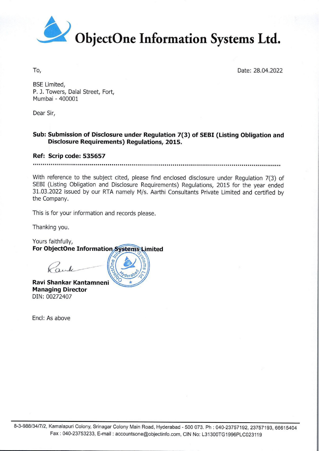

To, Date: 28.04.2022

BSE Limited, P. J. Towers, Dalal Street, Fort, Mumbai - 400001

Dear Sir,

## Sub: Submission of Disclosure under Regulation 7(3) of SEBI (Listing Obligation and Disclosure Requirements) Regulations, 2015.

## Ref: Scrip code: 535657

With reference to the subject cited, please find enclosed disclosure under Regulation 7(3) of SEBI (Listing Obligation and Disclosure Requirements) Regulations, 2015 for the year ended 31.03.2022 issued by our RTA namely M the Company. Bischere Requirements) Regulations, 2015.<br>
Ref. Scrip code: 535657<br>
With reference to the subject cited, please find enclosed disclosure under Regulation 7(3) of<br>
SERI (Listing Oligistion and Disclosure Requirements) Regul

This is for your information and records please.

Thanking you.

Yours faithfully, For ObjectOne Information Systems Limited

 $\frac{N}{2}$ 

 $\frac{20}{9}$ %0

Rank

 Ravi Shankar Kantamneni Managing Director DIN: 00272407

Encl: As above